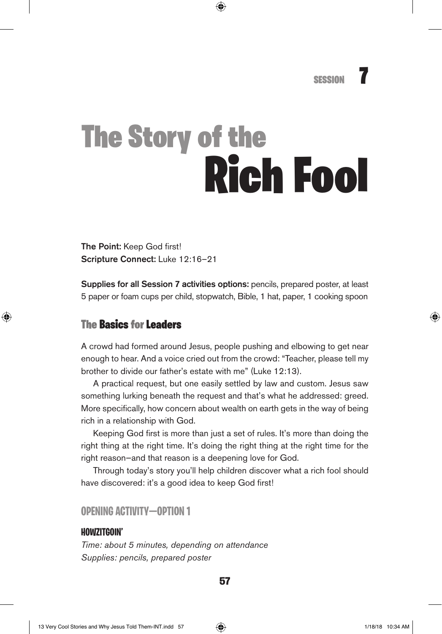# The Story of the Rich Fool

The Point: Keep God first! Scripture Connect: Luke 12:16–21

Supplies for all Session 7 activities options: pencils, prepared poster, at least 5 paper or foam cups per child, stopwatch, Bible, 1 hat, paper, 1 cooking spoon

# The Basics for Leaders

A crowd had formed around Jesus, people pushing and elbowing to get near enough to hear. And a voice cried out from the crowd: "Teacher, please tell my brother to divide our father's estate with me" (Luke 12:13).

A practical request, but one easily settled by law and custom. Jesus saw something lurking beneath the request and that's what he addressed: greed. More specifically, how concern about wealth on earth gets in the way of being rich in a relationship with God.

Keeping God first is more than just a set of rules. It's more than doing the right thing at the right time. It's doing the right thing at the right time for the right reason—and that reason is a deepening love for God.

Through today's story you'll help children discover what a rich fool should have discovered: it's a good idea to keep God first!

### **OPENING ACTIVITY—OPTION 1**

#### **HOWZITGOIN'**

*Time: about 5 minutes, depending on attendance Supplies: pencils, prepared poster*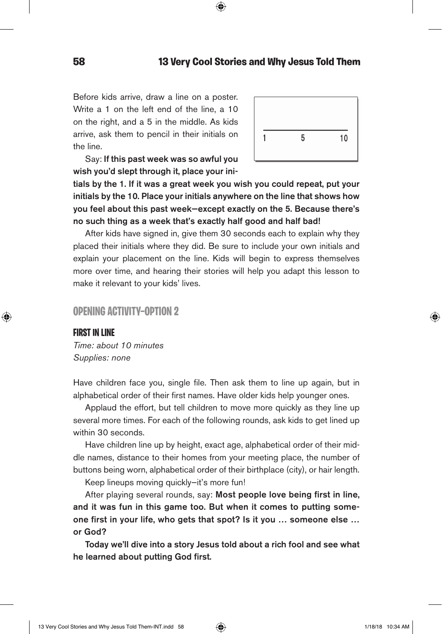Before kids arrive, draw a line on a poster. Write a 1 on the left end of the line, a 10 on the right, and a 5 in the middle. As kids arrive, ask them to pencil in their initials on the line.



Say: If this past week was so awful you wish you'd slept through it, place your ini-

tials by the 1. If it was a great week you wish you could repeat, put your initials by the 10. Place your initials anywhere on the line that shows how you feel about this past week—except exactly on the 5. Because there's no such thing as a week that's exactly half good and half bad!

After kids have signed in, give them 30 seconds each to explain why they placed their initials where they did. Be sure to include your own initials and explain your placement on the line. Kids will begin to express themselves more over time, and hearing their stories will help you adapt this lesson to make it relevant to your kids' lives.

#### **OPENING ACTIVITY—OPTION 2**

#### **FIRST IN LINE**

*Time: about 10 minutes Supplies: none*

Have children face you, single file. Then ask them to line up again, but in alphabetical order of their first names. Have older kids help younger ones.

Applaud the effort, but tell children to move more quickly as they line up several more times. For each of the following rounds, ask kids to get lined up within 30 seconds.

Have children line up by height, exact age, alphabetical order of their middle names, distance to their homes from your meeting place, the number of buttons being worn, alphabetical order of their birthplace (city), or hair length.

Keep lineups moving quickly—it's more fun!

After playing several rounds, say: Most people love being first in line, and it was fun in this game too. But when it comes to putting someone first in your life, who gets that spot? Is it you … someone else … or God?

Today we'll dive into a story Jesus told about a rich fool and see what he learned about putting God first.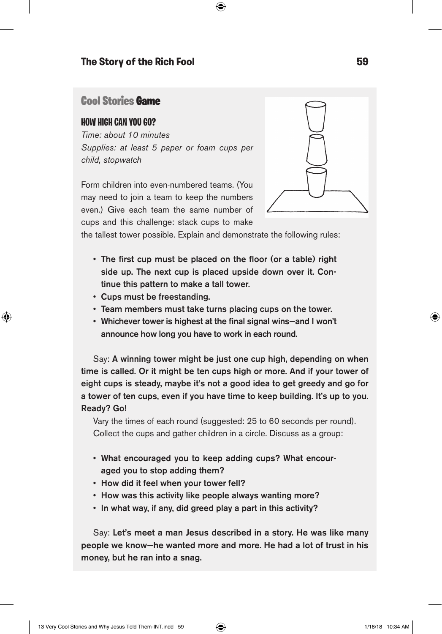# Cool Stories Game

#### **HOW HIGH CAN YOU GO?**

*Time: about 10 minutes Supplies: at least 5 paper or foam cups per child, stopwatch*

Form children into even-numbered teams. (You may need to join a team to keep the numbers even.) Give each team the same number of cups and this challenge: stack cups to make



the tallest tower possible. Explain and demonstrate the following rules:

- The first cup must be placed on the floor (or a table) right side up. The next cup is placed upside down over it. Continue this pattern to make a tall tower.
- Cups must be freestanding.
- Team members must take turns placing cups on the tower.
- Whichever tower is highest at the final signal wins—and I won't announce how long you have to work in each round.

Say: A winning tower might be just one cup high, depending on when time is called. Or it might be ten cups high or more. And if your tower of eight cups is steady, maybe it's not a good idea to get greedy and go for a tower of ten cups, even if you have time to keep building. It's up to you. Ready? Go!

Vary the times of each round (suggested: 25 to 60 seconds per round). Collect the cups and gather children in a circle. Discuss as a group:

- What encouraged you to keep adding cups? What encouraged you to stop adding them?
- How did it feel when your tower fell?
- How was this activity like people always wanting more?
- In what way, if any, did greed play a part in this activity?

Say: Let's meet a man Jesus described in a story. He was like many people we know—he wanted more and more. He had a lot of trust in his money, but he ran into a snag.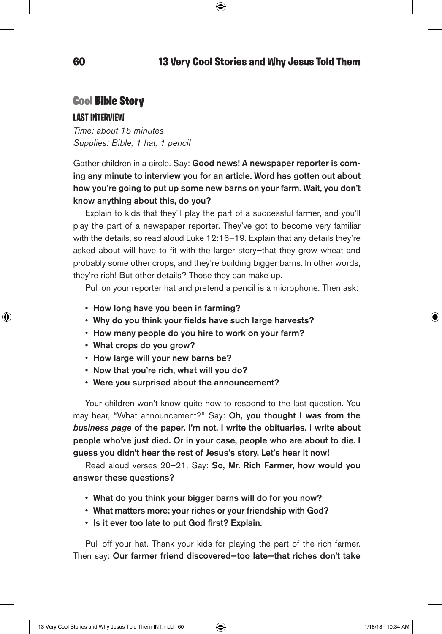# Cool Bible Story

#### **LAST INTERVIEW**

*Time: about 15 minutes Supplies: Bible, 1 hat, 1 pencil*

Gather children in a circle. Say: Good news! A newspaper reporter is coming any minute to interview you for an article. Word has gotten out about how you're going to put up some new barns on your farm. Wait, you don't know anything about this, do you?

Explain to kids that they'll play the part of a successful farmer, and you'll play the part of a newspaper reporter. They've got to become very familiar with the details, so read aloud Luke 12:16–19. Explain that any details they're asked about will have to fit with the larger story—that they grow wheat and probably some other crops, and they're building bigger barns. In other words, they're rich! But other details? Those they can make up.

Pull on your reporter hat and pretend a pencil is a microphone. Then ask:

- How long have you been in farming?
- Why do you think your fields have such large harvests?
- How many people do you hire to work on your farm?
- What crops do you grow?
- How large will your new barns be?
- Now that you're rich, what will you do?
- Were you surprised about the announcement?

Your children won't know quite how to respond to the last question. You may hear, "What announcement?" Say: Oh, you thought I was from the *business page* of the paper. I'm not. I write the obituaries. I write about people who've just died. Or in your case, people who are about to die. I guess you didn't hear the rest of Jesus's story. Let's hear it now!

Read aloud verses 20–21. Say: So, Mr. Rich Farmer, how would you answer these questions?

- What do you think your bigger barns will do for you now?
- What matters more: your riches or your friendship with God?
- Is it ever too late to put God first? Explain.

Pull off your hat. Thank your kids for playing the part of the rich farmer. Then say: Our farmer friend discovered—too late—that riches don't take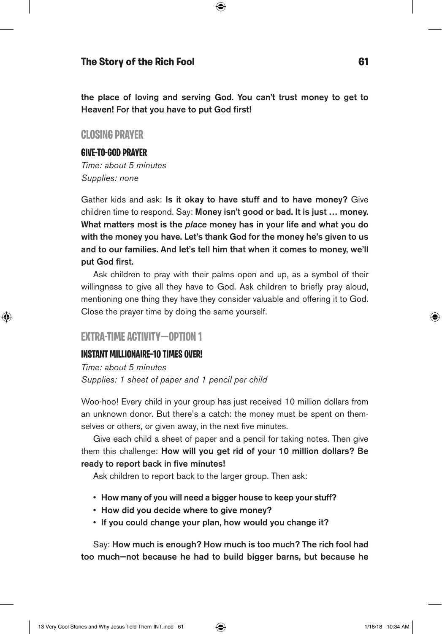the place of loving and serving God. You can't trust money to get to Heaven! For that you have to put God first!

## **CLOSING PRAYER**

#### **GIVE-TO-GOD PRAYER**

*Time: about 5 minutes Supplies: none*

Gather kids and ask: Is it okay to have stuff and to have money? Give children time to respond. Say: Money isn't good or bad. It is just … money. What matters most is the *place* money has in your life and what you do with the money you have. Let's thank God for the money he's given to us and to our families. And let's tell him that when it comes to money, we'll put God first.

Ask children to pray with their palms open and up, as a symbol of their willingness to give all they have to God. Ask children to briefly pray aloud, mentioning one thing they have they consider valuable and offering it to God. Close the prayer time by doing the same yourself.

## **EXTRA-TIME ACTIVITY—OPTION 1**

#### **INSTANT MILLIONAIRE—10 TIMES OVER!**

*Time: about 5 minutes Supplies: 1 sheet of paper and 1 pencil per child*

Woo-hoo! Every child in your group has just received 10 million dollars from an unknown donor. But there's a catch: the money must be spent on themselves or others, or given away, in the next five minutes.

Give each child a sheet of paper and a pencil for taking notes. Then give them this challenge: How will you get rid of your 10 million dollars? Be ready to report back in five minutes!

Ask children to report back to the larger group. Then ask:

- How many of you will need a bigger house to keep your stuff?
- How did you decide where to give money?
- If you could change your plan, how would you change it?

Say: How much is enough? How much is too much? The rich fool had too much—not because he had to build bigger barns, but because he